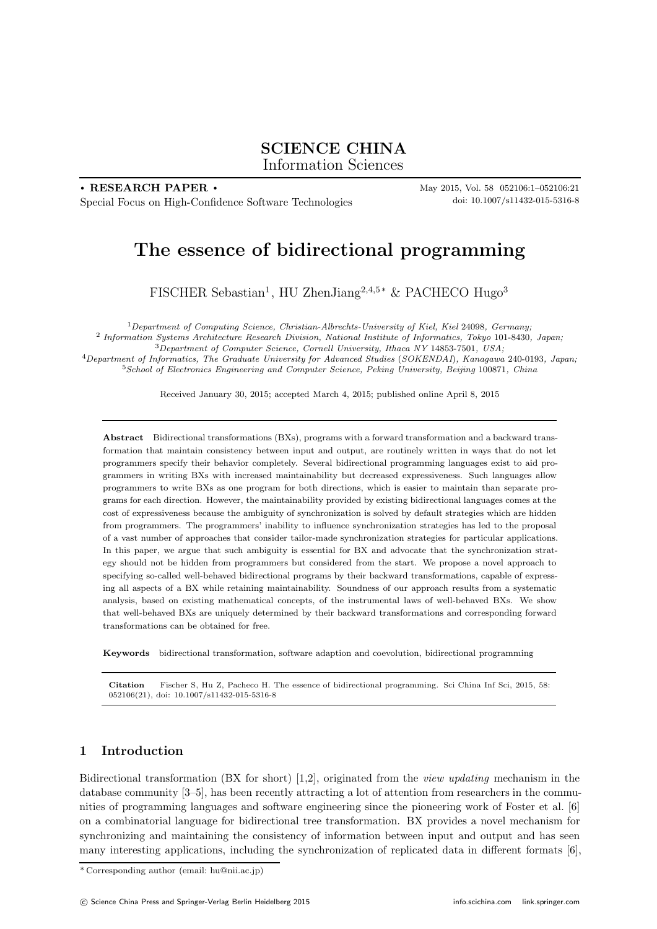# **SCIENCE CHINA** Information Sciences

#### **. RESEARCH PAPER .**

Special Focus on High-Confidence Software Technologies

May 2015, Vol. 58 052106:1–052106:21 doi: 10.1007/s11432-015-5316-8

## **The essence of bidirectional programming**

FISCHER Sebastian<sup>1</sup>, HU ZhenJiang<sup>2,4,5\*</sup> & PACHECO Hugo<sup>3</sup>

*Department of Computing Science, Christian-Albrechts-University of Kiel, Kiel* 24098*, Germany; Information Systems Architecture Research Division, National Institute of Informatics, Tokyo* 101-8430*, Japan; Department of Computer Science, Cornell University, Ithaca NY* 14853-7501*, USA; Department of Informatics, The Graduate University for Advanced Studies* (*SOKENDAI*)*, Kanagawa* 240-0193*, Japan; School of Electronics Engineering and Computer Science, Peking University, Beijing* 100871*, China*

Received January 30, 2015; accepted March 4, 2015; published online April 8, 2015

**Abstract** Bidirectional transformations (BXs), programs with a forward transformation and a backward transformation that maintain consistency between input and output, are routinely written in ways that do not let programmers specify their behavior completely. Several bidirectional programming languages exist to aid programmers in writing BXs with increased maintainability but decreased expressiveness. Such languages allow programmers to write BXs as one program for both directions, which is easier to maintain than separate programs for each direction. However, the maintainability provided by existing bidirectional languages comes at the cost of expressiveness because the ambiguity of synchronization is solved by default strategies which are hidden from programmers. The programmers' inability to influence synchronization strategies has led to the proposal of a vast number of approaches that consider tailor-made synchronization strategies for particular applications. In this paper, we argue that such ambiguity is essential for BX and advocate that the synchronization strategy should not be hidden from programmers but considered from the start. We propose a novel approach to specifying so-called well-behaved bidirectional programs by their backward transformations, capable of expressing all aspects of a BX while retaining maintainability. Soundness of our approach results from a systematic analysis, based on existing mathematical concepts, of the instrumental laws of well-behaved BXs. We show that well-behaved BXs are uniquely determined by their backward transformations and corresponding forward transformations can be obtained for free.

**Keywords** bidirectional transformation, software adaption and coevolution, bidirectional programming

**Citation** Fischer S, Hu Z, Pacheco H. The essence of bidirectional programming. Sci China Inf Sci, 2015, 58: 052106(21), doi: 10.1007/s11432-015-5316-8

## **1 Introduction**

Bidirectional transformation (BX for short) [1,2], originated from the *view updating* mechanism in the database community [3–5], has been recently attracting a lot of attention from researchers in the communities of programming languages and software engineering since the pioneering work of Foster et al. [6] on a combinatorial language for bidirectional tree transformation. BX provides a novel mechanism for synchronizing and maintaining the consistency of information between input and output and has seen many interesting applications, including the synchronization of replicated data in different formats [6],

<sup>\*</sup> Corresponding author (email: hu@nii.ac.jp)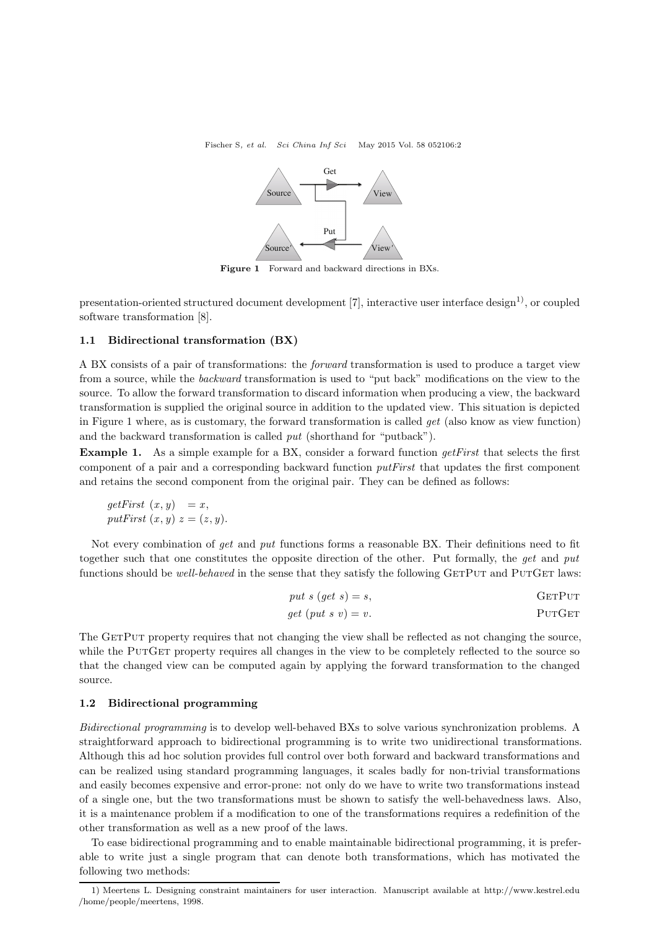

**Figure 1** Forward and backward directions in BXs.

presentation-oriented structured document development [7], interactive user interface design<sup>1</sup>), or coupled software transformation [8].

#### **1.1 Bidirectional transformation (BX)**

A BX consists of a pair of transformations: the *forward* transformation is used to produce a target view from a source, while the *backward* transformation is used to "put back" modifications on the view to the source. To allow the forward transformation to discard information when producing a view, the backward transformation is supplied the original source in addition to the updated view. This situation is depicted in Figure 1 where, as is customary, the forward transformation is called *get* (also know as view function) and the backward transformation is called *put* (shorthand for "putback").

**Example 1.** As a simple example for a BX, consider a forward function *getFirst* that selects the first component of a pair and a corresponding backward function *putFirst* that updates the first component and retains the second component from the original pair. They can be defined as follows:

 $getFirst (x, y) = x$ ,  $putFirst (x, y) z = (z, y).$ 

Not every combination of *get* and *put* functions forms a reasonable BX. Their definitions need to fit together such that one constitutes the opposite direction of the other. Put formally, the *get* and *put* functions should be *well-behaved* in the sense that they satisfy the following GETPUT and PUTGET laws:

$$
put s (get s) = s,
$$
 GETPUT  
get (put s v) = v.  
 PUTGET

The GETPUT property requires that not changing the view shall be reflected as not changing the source, while the PUTGET property requires all changes in the view to be completely reflected to the source so that the changed view can be computed again by applying the forward transformation to the changed source.

#### **1.2 Bidirectional programming**

*Bidirectional programming* is to develop well-behaved BXs to solve various synchronization problems. A straightforward approach to bidirectional programming is to write two unidirectional transformations. Although this ad hoc solution provides full control over both forward and backward transformations and can be realized using standard programming languages, it scales badly for non-trivial transformations and easily becomes expensive and error-prone: not only do we have to write two transformations instead of a single one, but the two transformations must be shown to satisfy the well-behavedness laws. Also, it is a maintenance problem if a modification to one of the transformations requires a redefinition of the other transformation as well as a new proof of the laws.

To ease bidirectional programming and to enable maintainable bidirectional programming, it is preferable to write just a single program that can denote both transformations, which has motivated the following two methods:

<sup>1)</sup> Meertens L. Designing constraint maintainers for user interaction. Manuscript available at http://www.kestrel.edu /home/people/meertens, 1998.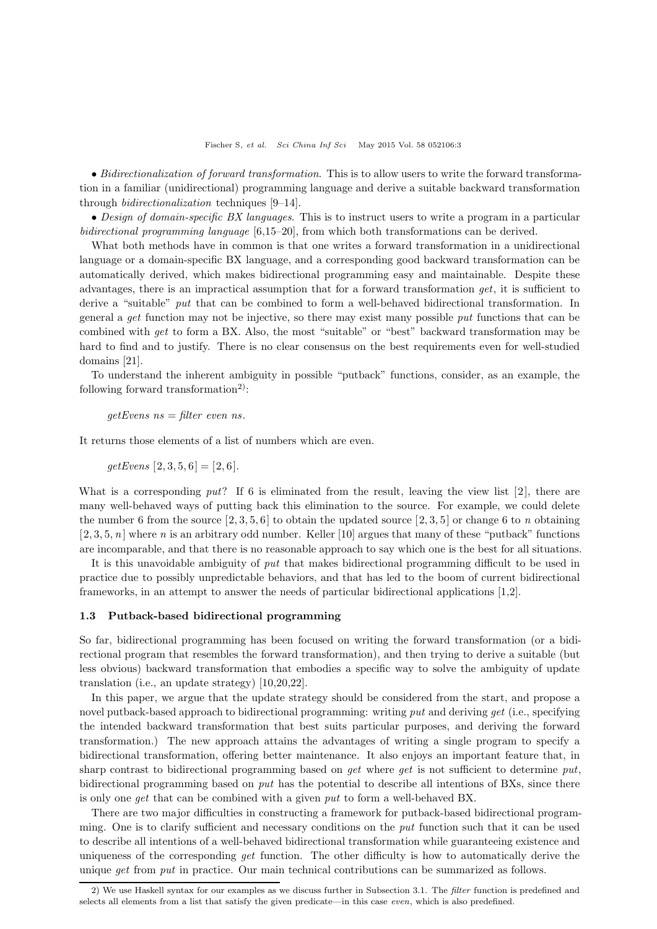• *Bidirectionalization of forward transformation*. This is to allow users to write the forward transformation in a familiar (unidirectional) programming language and derive a suitable backward transformation through *bidirectionalization* techniques [9–14].

• *Design of domain-specific BX languages*. This is to instruct users to write a program in a particular *bidirectional programming language* [6,15–20], from which both transformations can be derived.

What both methods have in common is that one writes a forward transformation in a unidirectional language or a domain-specific BX language, and a corresponding good backward transformation can be automatically derived, which makes bidirectional programming easy and maintainable. Despite these advantages, there is an impractical assumption that for a forward transformation *get*, it is sufficient to derive a "suitable" *put* that can be combined to form a well-behaved bidirectional transformation. In general a *get* function may not be injective, so there may exist many possible *put* functions that can be combined with *get* to form a BX. Also, the most "suitable" or "best" backward transformation may be hard to find and to justify. There is no clear consensus on the best requirements even for well-studied domains [21].

To understand the inherent ambiguity in possible "putback" functions, consider, as an example, the following forward transformation<sup>2)</sup>:

*getEvens ns* = *filter even ns*.

It returns those elements of a list of numbers which are even.

 $getEvents [2, 3, 5, 6] = [2, 6].$ 

What is a corresponding *put*? If 6 is eliminated from the result, leaving the view list [2], there are many well-behaved ways of putting back this elimination to the source. For example, we could delete the number 6 from the source  $[2, 3, 5, 6]$  to obtain the updated source  $[2, 3, 5]$  or change 6 to *n* obtaining [2, 3, 5, *n* ] where *n* is an arbitrary odd number. Keller [10] argues that many of these "putback" functions are incomparable, and that there is no reasonable approach to say which one is the best for all situations.

It is this unavoidable ambiguity of *put* that makes bidirectional programming difficult to be used in practice due to possibly unpredictable behaviors, and that has led to the boom of current bidirectional frameworks, in an attempt to answer the needs of particular bidirectional applications [1,2].

#### **1.3 Putback-based bidirectional programming**

So far, bidirectional programming has been focused on writing the forward transformation (or a bidirectional program that resembles the forward transformation), and then trying to derive a suitable (but less obvious) backward transformation that embodies a specific way to solve the ambiguity of update translation (i.e., an update strategy) [10,20,22].

In this paper, we argue that the update strategy should be considered from the start, and propose a novel putback-based approach to bidirectional programming: writing *put* and deriving *get* (i.e., specifying the intended backward transformation that best suits particular purposes, and deriving the forward transformation.) The new approach attains the advantages of writing a single program to specify a bidirectional transformation, offering better maintenance. It also enjoys an important feature that, in sharp contrast to bidirectional programming based on *get* where *get* is not sufficient to determine *put*, bidirectional programming based on *put* has the potential to describe all intentions of BXs, since there is only one *get* that can be combined with a given *put* to form a well-behaved BX.

There are two major difficulties in constructing a framework for putback-based bidirectional programming. One is to clarify sufficient and necessary conditions on the *put* function such that it can be used to describe all intentions of a well-behaved bidirectional transformation while guaranteeing existence and uniqueness of the corresponding *get* function. The other difficulty is how to automatically derive the unique *get* from *put* in practice. Our main technical contributions can be summarized as follows.

<sup>2)</sup> We use Haskell syntax for our examples as we discuss further in Subsection 3.1. The *filter* function is predefined and selects all elements from a list that satisfy the given predicate—in this case *even*, which is also predefined.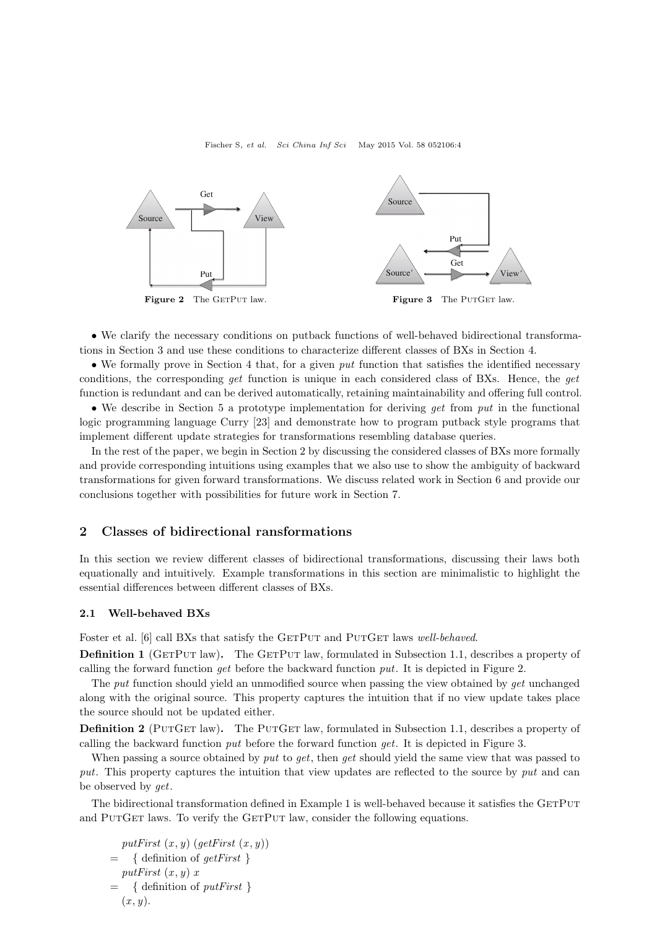

• We clarify the necessary conditions on putback functions of well-behaved bidirectional transformations in Section 3 and use these conditions to characterize different classes of BXs in Section 4.

• We formally prove in Section 4 that, for a given *put* function that satisfies the identified necessary conditions, the corresponding *get* function is unique in each considered class of BXs. Hence, the *get* function is redundant and can be derived automatically, retaining maintainability and offering full control.

• We describe in Section 5 a prototype implementation for deriving *get* from *put* in the functional logic programming language Curry [23] and demonstrate how to program putback style programs that implement different update strategies for transformations resembling database queries.

In the rest of the paper, we begin in Section 2 by discussing the considered classes of BXs more formally and provide corresponding intuitions using examples that we also use to show the ambiguity of backward transformations for given forward transformations. We discuss related work in Section 6 and provide our conclusions together with possibilities for future work in Section 7.

## **2 Classes of bidirectional ransformations**

In this section we review different classes of bidirectional transformations, discussing their laws both equationally and intuitively. Example transformations in this section are minimalistic to highlight the essential differences between different classes of BXs.

#### **2.1 Well-behaved BXs**

Foster et al. [6] call BXs that satisfy the GETPUT and PUTGET laws *well-behaved*.

**Definition 1** (GETPUT law). The GETPUT law, formulated in Subsection 1.1, describes a property of calling the forward function *get* before the backward function *put*. It is depicted in Figure 2.

The *put* function should yield an unmodified source when passing the view obtained by *get* unchanged along with the original source. This property captures the intuition that if no view update takes place the source should not be updated either.

**Definition 2** (PUTGET law). The PUTGET law, formulated in Subsection 1.1, describes a property of calling the backward function *put* before the forward function *get*. It is depicted in Figure 3.

When passing a source obtained by *put* to *get*, then *get* should yield the same view that was passed to *put*. This property captures the intuition that view updates are reflected to the source by *put* and can be observed by *get*.

The bidirectional transformation defined in Example 1 is well-behaved because it satisfies the GETPUT and PUTGET laws. To verify the GETPUT law, consider the following equations.

 $putFirst (x, y) (getFirst (x, y))$ = { definition of *getFirst* }  $putFirst (x, y) x$ = { definition of *putFirst* }  $(x, y)$ .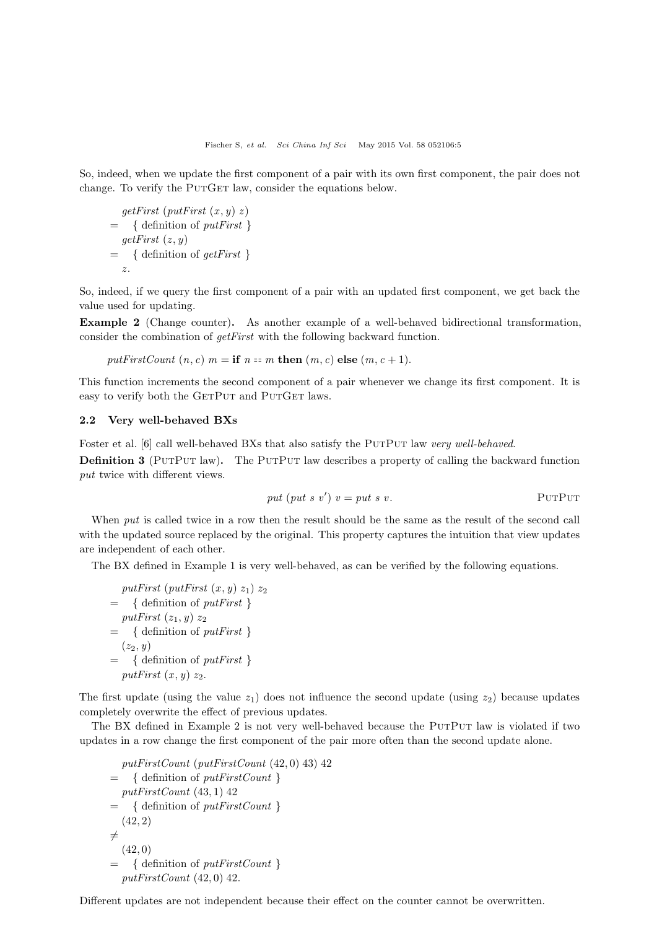So, indeed, when we update the first component of a pair with its own first component, the pair does not change. To verify the PUTGET law, consider the equations below.

$$
getFirst (putFirst (x, y) z)
$$
  
= { definition of putFirst }\n
$$
getFirst (z, y)
$$
  
= { definition of getFirst }\n
$$
z.
$$

So, indeed, if we query the first component of a pair with an updated first component, we get back the value used for updating.

**Example 2** (Change counter)**.** As another example of a well-behaved bidirectional transformation, consider the combination of *getFirst* with the following backward function.

*putFirstCount*  $(n, c)$   $m =$  **if**  $n = m$  **then**  $(m, c)$  **else**  $(m, c + 1)$ .

This function increments the second component of a pair whenever we change its first component. It is easy to verify both the GETPUT and PUTGET laws.

#### **2.2 Very well-behaved BXs**

Foster et al. [6] call well-behaved BXs that also satisfy the PutPut law *very well-behaved*.

**Definition 3** (PUTPUT law). The PUTPUT law describes a property of calling the backward function *put* twice with different views.

$$
put (put s v') v = put s v.
$$
 
$$
PUTPUT
$$

When *put* is called twice in a row then the result should be the same as the result of the second call with the updated source replaced by the original. This property captures the intuition that view updates are independent of each other.

The BX defined in Example 1 is very well-behaved, as can be verified by the following equations.

```
putFirst (putFirst (x, y) z_1) z_2= { definition of putFirst }
  putFirst (z_1, y) z_2= { definition of putFirst }
  (z_2, y)= { definition of putFirst }
  putFirst (x, y) z_2.
```
The first update (using the value  $z_1$ ) does not influence the second update (using  $z_2$ ) because updates completely overwrite the effect of previous updates.

The BX defined in Example 2 is not very well-behaved because the PUTPUT law is violated if two updates in a row change the first component of the pair more often than the second update alone.

*putFirstCount* (*putFirstCount* (42, 0) 43) 42 = { definition of *putFirstCount* } *putFirstCount* (43, 1) 42 = { definition of *putFirstCount* }  $(42, 2)$  $\neq$  $(42, 0)$ = { definition of *putFirstCount* } *putFirstCount* (42, 0) 42.

Different updates are not independent because their effect on the counter cannot be overwritten.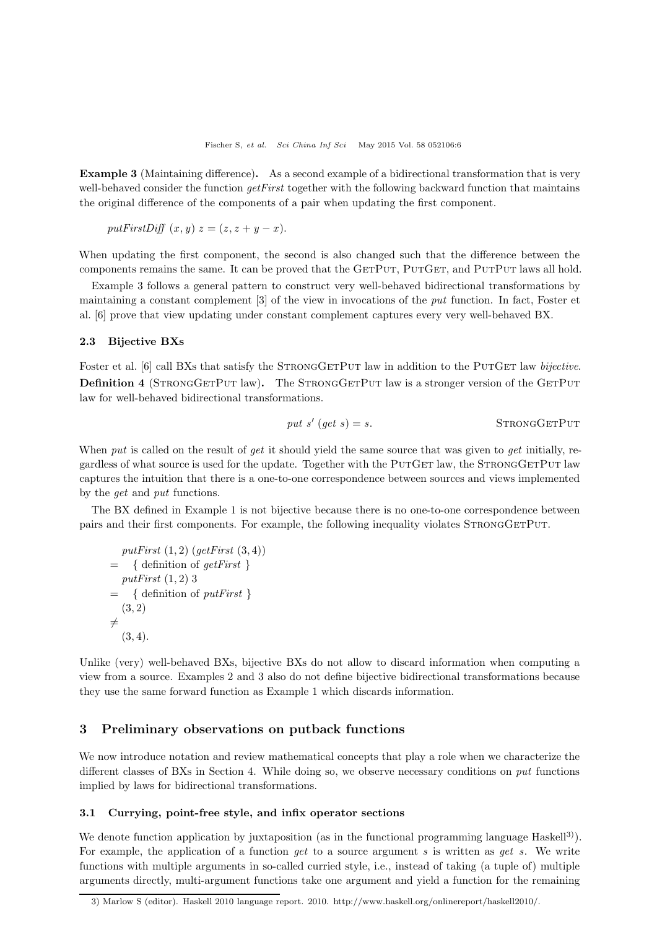**Example 3** (Maintaining difference)**.** As a second example of a bidirectional transformation that is very well-behaved consider the function *getFirst* together with the following backward function that maintains the original difference of the components of a pair when updating the first component.

*putFirstDiff*  $(x, y) z = (z, z + y - x)$ .

When updating the first component, the second is also changed such that the difference between the components remains the same. It can be proved that the GETPUT, PUTGET, and PUTPUT laws all hold.

Example 3 follows a general pattern to construct very well-behaved bidirectional transformations by maintaining a constant complement [3] of the view in invocations of the *put* function. In fact, Foster et al. [6] prove that view updating under constant complement captures every very well-behaved BX.

#### **2.3 Bijective BXs**

Foster et al. [6] call BXs that satisfy the STRONGGETPUT law in addition to the PUTGET law *bijective*. **Definition 4** (STRONGGETPUT law). The STRONGGETPUT law is a stronger version of the GETPUT law for well-behaved bidirectional transformations.

$$
put\ s'\ (get\ s) = s.
$$
 STRONGGETPUT

When *put* is called on the result of *get* it should yield the same source that was given to *get* initially, regardless of what source is used for the update. Together with the PUTGET law, the STRONGGETPUT law captures the intuition that there is a one-to-one correspondence between sources and views implemented by the *get* and *put* functions.

The BX defined in Example 1 is not bijective because there is no one-to-one correspondence between pairs and their first components. For example, the following inequality violates STRONGGETPUT.

$$
putFirst (1,2) (getFirst (3,4))
$$
\n
$$
= \{ definition of getFirst \}
$$
\n
$$
putFirst (1,2) 3
$$
\n
$$
= \{ definition of putFirst \}
$$
\n
$$
(3,2)
$$
\n
$$
\neq
$$
\n
$$
(3,4).
$$

Unlike (very) well-behaved BXs, bijective BXs do not allow to discard information when computing a view from a source. Examples 2 and 3 also do not define bijective bidirectional transformations because they use the same forward function as Example 1 which discards information.

## **3 Preliminary observations on putback functions**

We now introduce notation and review mathematical concepts that play a role when we characterize the different classes of BXs in Section 4. While doing so, we observe necessary conditions on *put* functions implied by laws for bidirectional transformations.

#### **3.1 Currying, point-free style, and infix operator sections**

We denote function application by juxtaposition (as in the functional programming language Haskell<sup>3)</sup>). For example, the application of a function *get* to a source argument *s* is written as *get s*. We write functions with multiple arguments in so-called curried style, i.e., instead of taking (a tuple of) multiple arguments directly, multi-argument functions take one argument and yield a function for the remaining

<sup>3)</sup> Marlow S (editor). Haskell 2010 language report. 2010. http://www.haskell.org/onlinereport/haskell2010/.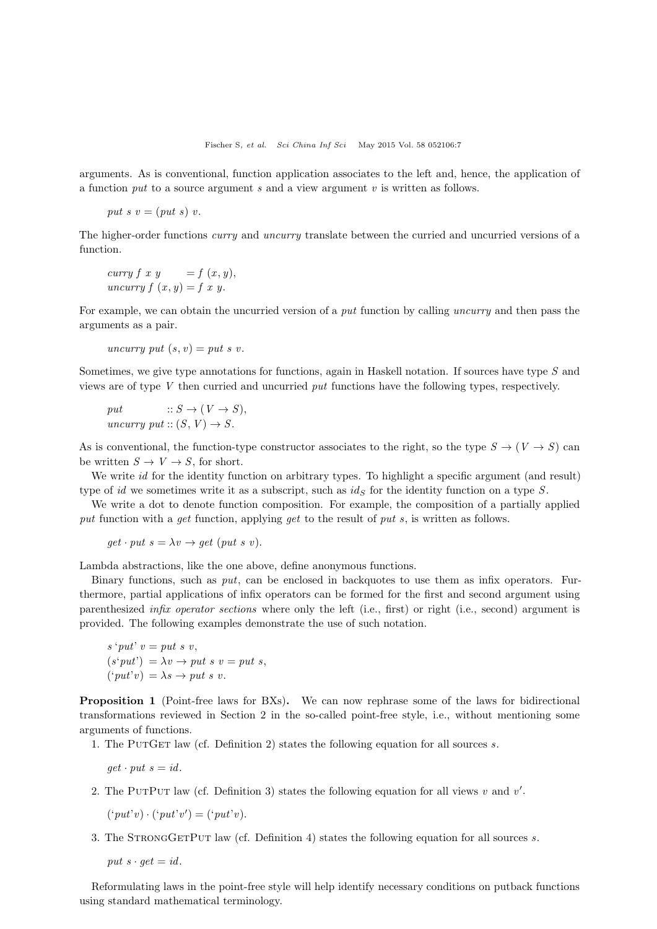arguments. As is conventional, function application associates to the left and, hence, the application of a function *put* to a source argument *s* and a view argument *v* is written as follows.

$$
put s v = (put s) v.
$$

The higher-order functions *curry* and *uncurry* translate between the curried and uncurried versions of a function.

$$
curry f x y = f (x, y),
$$
  
uncurray f (x, y) = f x y.

For example, we can obtain the uncurried version of a *put* function by calling *uncurry* and then pass the arguments as a pair.

uncurray put 
$$
(s, v) = put s v
$$
.

Sometimes, we give type annotations for functions, again in Haskell notation. If sources have type *S* and views are of type *V* then curried and uncurried *put* functions have the following types, respectively.

```
put :: S \rightarrow (V \rightarrow S),uncurry put :: (S, V) \rightarrow S.
```
As is conventional, the function-type constructor associates to the right, so the type  $S \to (V \to S)$  can be written  $S \to V \to S$ , for short.

We write *id* for the identity function on arbitrary types. To highlight a specific argument (and result) type of *id* we sometimes write it as a subscript, such as id*<sup>S</sup>* for the identity function on a type *S*.

We write a dot to denote function composition. For example, the composition of a partially applied *put* function with a *get* function, applying *get* to the result of *put s*, is written as follows.

$$
get \cdot put \ s = \lambda v \rightarrow get \ (put \ s \ v).
$$

Lambda abstractions, like the one above, define anonymous functions.

Binary functions, such as *put*, can be enclosed in backquotes to use them as infix operators. Furthermore, partial applications of infix operators can be formed for the first and second argument using parenthesized *infix operator sections* where only the left (i.e., first) or right (i.e., second) argument is provided. The following examples demonstrate the use of such notation.

 $s$  '*put*'  $v = put s v$ ,  $(s'put') = \lambda v \rightarrow put \ s \ v = put \ s,$  $({}^\iota \mathit{put}^\iota v) = \lambda s \rightarrow \mathit{put} s v.$ 

**Proposition 1** (Point-free laws for BXs). We can now rephrase some of the laws for bidirectional transformations reviewed in Section 2 in the so-called point-free style, i.e., without mentioning some arguments of functions.

1. The PUTGET law (cf. Definition 2) states the following equation for all sources *s*.

 $get \cdot put \ s = id.$ 

2. The PUTPUT law (cf. Definition 3) states the following equation for all views  $v$  and  $v'$ .

 $('put'v) \cdot ('put'v') = ('put'v).$ 

3. The StrongGetPut law (cf. Definition 4) states the following equation for all sources *<sup>s</sup>*.

 $put \, s \cdot get = id.$ 

Reformulating laws in the point-free style will help identify necessary conditions on putback functions using standard mathematical terminology.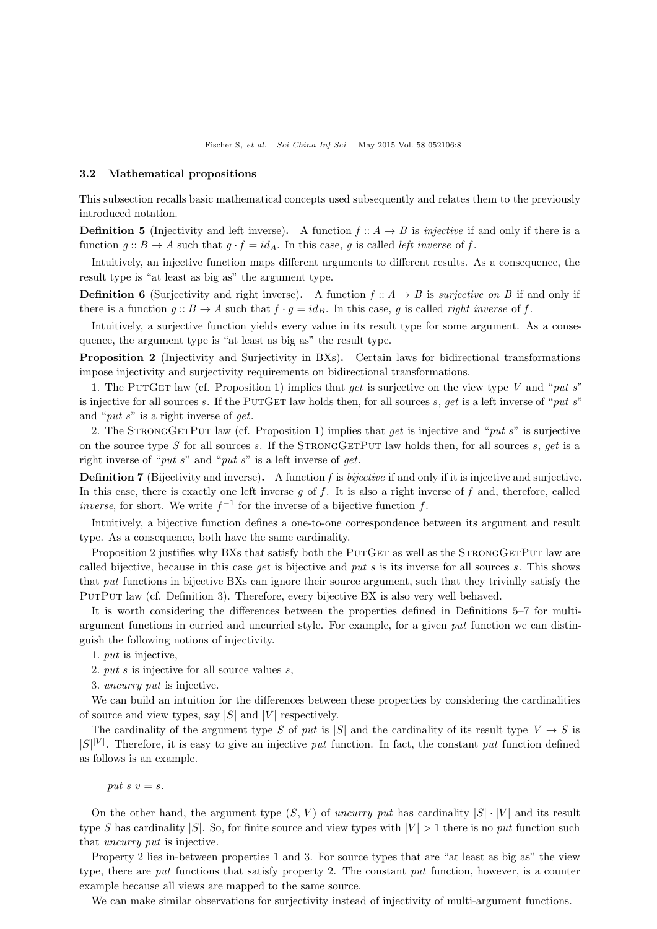#### **3.2 Mathematical propositions**

This subsection recalls basic mathematical concepts used subsequently and relates them to the previously introduced notation.

**Definition 5** (Injectivity and left inverse). A function  $f: A \rightarrow B$  is *injective* if and only if there is a function  $g: B \to A$  such that  $g \cdot f = id_A$ . In this case, *g* is called *left inverse* of *f*.

Intuitively, an injective function maps different arguments to different results. As a consequence, the result type is "at least as big as" the argument type.

**Definition 6** (Surjectivity and right inverse). A function  $f: A \rightarrow B$  is *surjective on B* if and only if there is a function  $q :: B \rightarrow A$  such that  $f \cdot q = id_B$ . In this case, q is called *right inverse* of f.

Intuitively, a surjective function yields every value in its result type for some argument. As a consequence, the argument type is "at least as big as" the result type.

**Proposition 2** (Injectivity and Surjectivity in BXs). Certain laws for bidirectional transformations impose injectivity and surjectivity requirements on bidirectional transformations.

1. The PutGet law (cf. Proposition 1) implies that *get* is surjective on the view type *<sup>V</sup>* and "*put s*" is injective for all sources *s*. If the PUTGET law holds then, for all sources *s*, get is a left inverse of "*put s*" and "*put s*" is a right inverse of *get*.

2. The StrongGetPut law (cf. Proposition 1) implies that *get* is injective and "*put s*" is surjective on the source type *<sup>S</sup>* for all sources *<sup>s</sup>*. If the StrongGetPut law holds then, for all sources *<sup>s</sup>*, *get* is a right inverse of "*put s*" and "*put s*" is a left inverse of *get*.

**Definition 7** (Bijectivity and inverse)**.** A function *f* is *bijective* if and only if it is injective and surjective. In this case, there is exactly one left inverse *g* of *f* . It is also a right inverse of *f* and, therefore, called *inverse*, for short. We write  $f^{-1}$  for the inverse of a bijective function f.

Intuitively, a bijective function defines a one-to-one correspondence between its argument and result type. As a consequence, both have the same cardinality.

Proposition 2 justifies why BXs that satisfy both the PUTGET as well as the STRONGGETPUT law are called bijective, because in this case *get* is bijective and *put s* is its inverse for all sources *s*. This shows that *put* functions in bijective BXs can ignore their source argument, such that they trivially satisfy the PutPut law (cf. Definition 3). Therefore, every bijective BX is also very well behaved.

It is worth considering the differences between the properties defined in Definitions 5–7 for multiargument functions in curried and uncurried style. For example, for a given *put* function we can distinguish the following notions of injectivity.

1. *put* is injective,

2. *put s* is injective for all source values *s*,

3. *uncurry put* is injective.

We can build an intuition for the differences between these properties by considering the cardinalities of source and view types, say  $|S|$  and  $|V|$  respectively.

The cardinality of the argument type *S* of *put* is |S| and the cardinality of its result type  $V \rightarrow S$  is  $|S|^{|V|}$ . Therefore, it is easy to give an injective *put* function. In fact, the constant *put* function defined as follows is an example.

 $put s v = s.$ 

On the other hand, the argument type  $(S, V)$  of *uncurry put* has cardinality  $|S| \cdot |V|$  and its result type *S* has cardinality |S|. So, for finite source and view types with  $|V| > 1$  there is no *put* function such that *uncurry put* is injective.

Property 2 lies in-between properties 1 and 3. For source types that are "at least as big as" the view type, there are *put* functions that satisfy property 2. The constant *put* function, however, is a counter example because all views are mapped to the same source.

We can make similar observations for surjectivity instead of injectivity of multi-argument functions.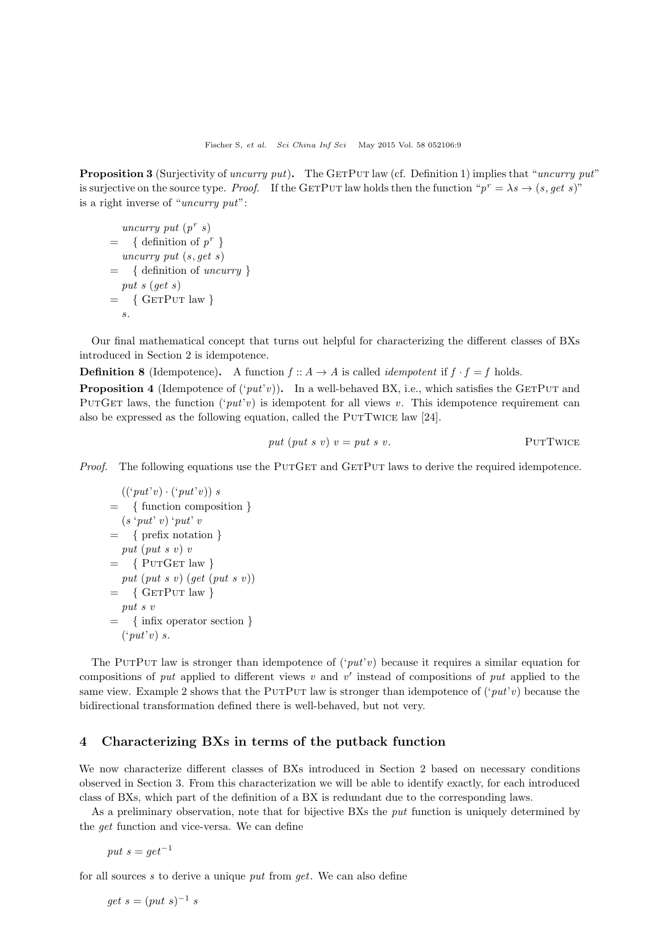**Proposition 3** (Surjectivity of *uncurry put*). The GETPUT law (cf. Definition 1) implies that "*uncurry put*" is surjective on the source type. *Proof.* If the GETPUT law holds then the function " $p^r = \lambda s \rightarrow (s, qet s)$ " is a right inverse of "*uncurry put*":

*uncurry put*  $(p^r s)$  $=$  { definition of  $p^r$  } *uncurry put* (*s*, *get s*) = { definition of *uncurry* } *put s* (*get s*)  $= \{ \text{GETPUT law} \}$ *s*.

Our final mathematical concept that turns out helpful for characterizing the different classes of BXs introduced in Section 2 is idempotence.

**Definition 8** (Idempotence). A function  $f: A \to A$  is called *idempotent* if  $f \cdot f = f$  holds.

**Proposition 4** (Idempotence of  $('put'v)$ ). In a well-behaved BX, i.e., which satisfies the GETPUT and PUTGET laws, the function ('*put*'*v*) is idempotent for all views *v*. This idempotence requirement can also be expressed as the following equation, called the PutTwice law [24].

$$
put (put s v) v = put s v.
$$
 
$$
PUTWICE
$$

*Proof.* The following equations use the PUTGET and GETPUT laws to derive the required idempotence.

```
((\forall put'\,v) \cdot (\forall put'\,v)) s= { function composition }
  (s 'put' v) 'put' v
= { prefix notation }
  put (put s v) v
= \{ PUTGET law \}put (put s v) (get (put s v))
= \{ \text{GETPUT law} \}put s v
= { infix operator section }
  ('put'v) s.
```
The PUTPUT law is stronger than idempotence of  $('put'v)$  because it requires a similar equation for compositions of *put* applied to different views *v* and *v* instead of compositions of *put* applied to the same view. Example 2 shows that the PUTPUT law is stronger than idempotence of  $('put'v)$  because the bidirectional transformation defined there is well-behaved, but not very.

## **4 Characterizing BXs in terms of the putback function**

We now characterize different classes of BXs introduced in Section 2 based on necessary conditions observed in Section 3. From this characterization we will be able to identify exactly, for each introduced class of BXs, which part of the definition of a BX is redundant due to the corresponding laws.

As a preliminary observation, note that for bijective BXs the *put* function is uniquely determined by the *get* function and vice-versa. We can define

 $put s = get^{-1}$ 

for all sources *s* to derive a unique *put* from *get*. We can also define

*get s* =  $(put s)^{-1}$  *s*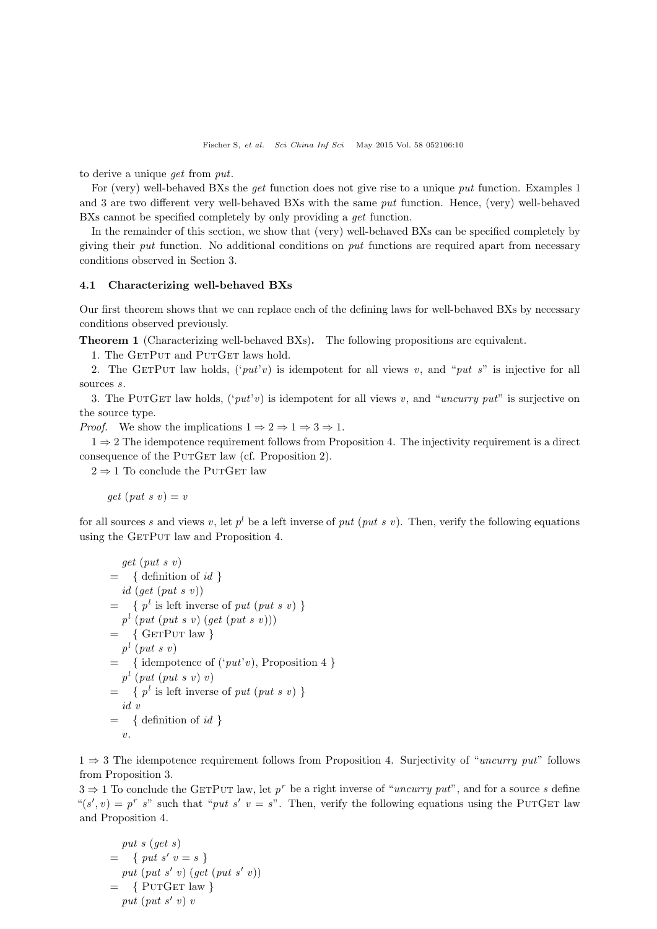to derive a unique *get* from *put*.

For (very) well-behaved BXs the *get* function does not give rise to a unique *put* function. Examples 1 and 3 are two different very well-behaved BXs with the same *put* function. Hence, (very) well-behaved BXs cannot be specified completely by only providing a *get* function.

In the remainder of this section, we show that (very) well-behaved BXs can be specified completely by giving their *put* function. No additional conditions on *put* functions are required apart from necessary conditions observed in Section 3.

#### **4.1 Characterizing well-behaved BXs**

Our first theorem shows that we can replace each of the defining laws for well-behaved BXs by necessary conditions observed previously.

**Theorem 1** (Characterizing well-behaved BXs)**.** The following propositions are equivalent.

1. The GETPUT and PUTGET laws hold.

2. The GETPUT law holds,  $('put'v)$  is idempotent for all views  $v$ , and "*put s*" is injective for all sources *s*.

3. The PUTGET law holds,  $('put'v)$  is idempotent for all views  $v$ , and "*uncurry put*" is surjective on the source type.

*Proof.* We show the implications  $1 \Rightarrow 2 \Rightarrow 1 \Rightarrow 3 \Rightarrow 1$ .

 $1 \Rightarrow 2$  The idempotence requirement follows from Proposition 4. The injectivity requirement is a direct consequence of the PUTGET law (cf. Proposition 2).

 $2 \Rightarrow 1$  To conclude the PUTGET law

 $get$  (*put s v*) = *v* 

for all sources s and views v, let  $p^l$  be a left inverse of put (put s v). Then, verify the following equations using the GETPUT law and Proposition 4.

get (put s v)  
\n
$$
= \{ \text{ definition of id } \}
$$
\n
$$
id (get (put s v))
$$
\n
$$
= \{ p^l \text{ is left inverse of put} (put s v) \}
$$
\n
$$
p^l (put (put s v) (get (put s v)))
$$
\n
$$
= \{ \text{GETPUT law } \}
$$
\n
$$
p^l (put s v)
$$
\n
$$
= \{ \text{idempotence of } ('put'v), \text{Proposition 4 } \}
$$
\n
$$
p^l (put (put s v) v)
$$
\n
$$
= \{ p^l \text{ is left inverse of put} (put s v) \}
$$
\n
$$
id v
$$
\n
$$
= \{ \text{definition of } id \}
$$

1 ⇒ 3 The idempotence requirement follows from Proposition 4. Surjectivity of "*uncurry put*" follows from Proposition 3.

 $3 \Rightarrow 1$  To conclude the GETPUT law, let  $p^r$  be a right inverse of "*uncurry put*", and for a source *s* define " $(s', v) = p^r s$ " such that "*put s'*  $v = s$ ". Then, verify the following equations using the PUTGET law and Proposition 4.

$$
put s (get s)
$$
  
= { put s' v = s}  
put (put s' v) (get (put s' v))  
= { PUTGET law }  
put (put s' v) v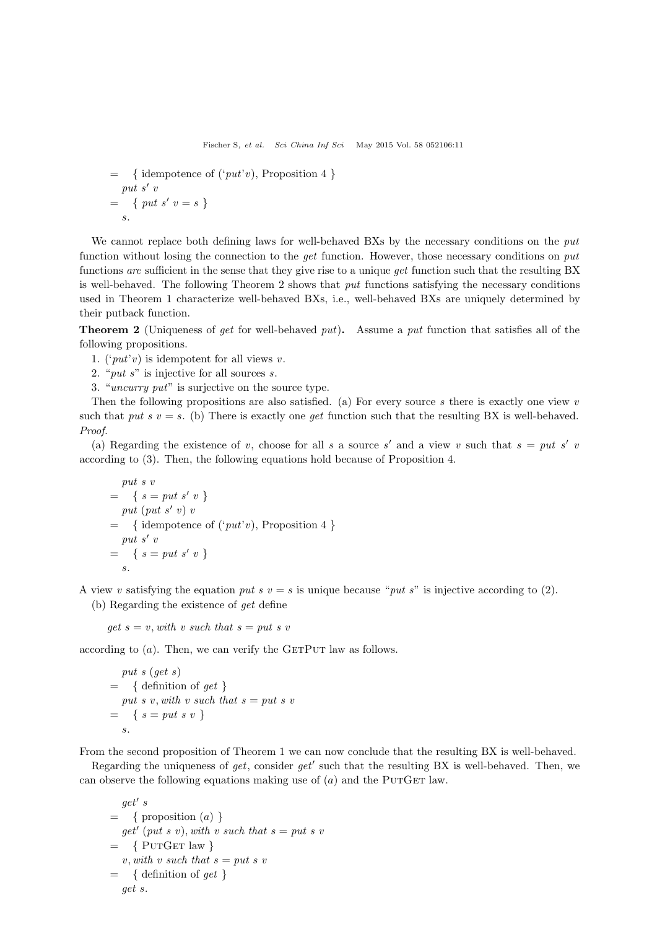$$
= \{ \text{ idempotence of } ('put'v), \text{ Proposition 4 } \}
$$
  
\n
$$
put s' v
$$
  
\n
$$
= \{ put s' v = s \}
$$
  
\n
$$
s.
$$

We cannot replace both defining laws for well-behaved BXs by the necessary conditions on the *put* function without losing the connection to the *get* function. However, those necessary conditions on *put* functions *are* sufficient in the sense that they give rise to a unique *get* function such that the resulting BX is well-behaved. The following Theorem 2 shows that *put* functions satisfying the necessary conditions used in Theorem 1 characterize well-behaved BXs, i.e., well-behaved BXs are uniquely determined by their putback function.

**Theorem 2** (Uniqueness of *get* for well-behaved *put*)**.** Assume a *put* function that satisfies all of the following propositions.

1. ('*put*'*v*) is idempotent for all views *v*.

2. "*put s*" is injective for all sources *s*.

3. "*uncurry put*" is surjective on the source type.

Then the following propositions are also satisfied. (a) For every source *s* there is exactly one view *v* such that  $put s v = s$ . (b) There is exactly one *get* function such that the resulting BX is well-behaved. *Proof.*

(a) Regarding the existence of *v*, choose for all *s* a source *s'* and a view *v* such that  $s = put s' v$ according to (3). Then, the following equations hold because of Proposition 4.

put s v  
\n
$$
= \{ s = put s' v \}
$$
\nput (put s' v) v  
\n
$$
= \{ \text{idempotence of } ('put'v), \text{Proposition 4 } \}
$$
\n
$$
put s' v
$$
\n
$$
= \{ s = put s' v \}
$$
\ns.

A view *v* satisfying the equation *put s v* = *s* is unique because "*put s*" is injective according to (2).

(b) Regarding the existence of *get* define

 $get s = v, with v such that s = put s v$ 

according to  $(a)$ . Then, we can verify the GETPUT law as follows.

*put s* (*get s*) = { definition of *get* } *put s v, with v such that*  $s = put s$  *v*  $= \{ s = put s \ v \ }$ *s*.

From the second proposition of Theorem 1 we can now conclude that the resulting BX is well-behaved.

Regarding the uniqueness of *get*, consider *get'* such that the resulting BX is well-behaved. Then, we can observe the following equations making use of  $(a)$  and the PUTGET law.

```
get s
= \{ proposition (a)}
  get' (put s v), with v such that s = put s v
= \{ PUTGET law \}v, with v such that s = put s v
= { definition of get }
  get s.
```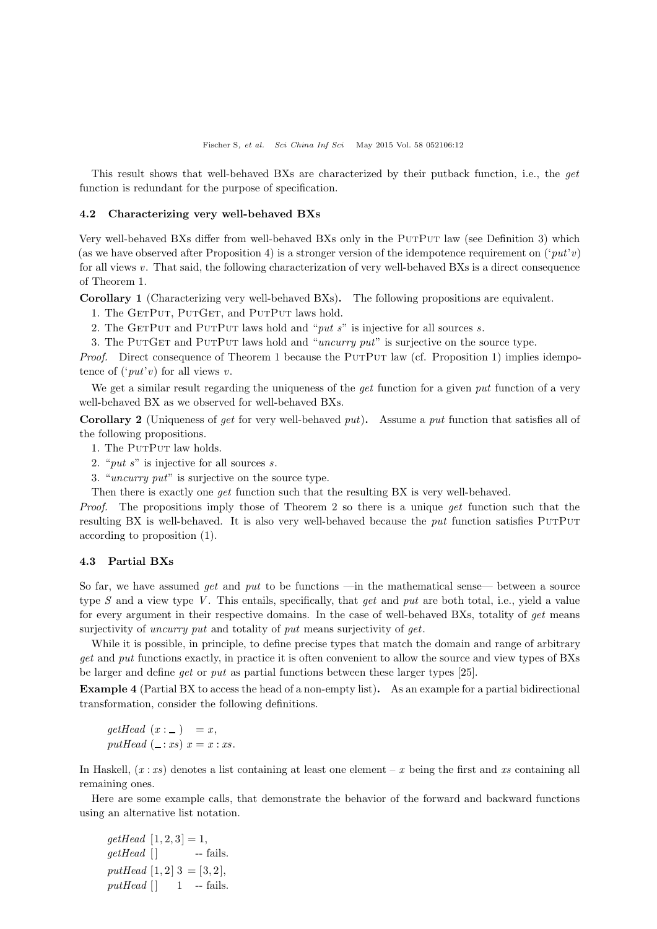This result shows that well-behaved BXs are characterized by their putback function, i.e., the *get* function is redundant for the purpose of specification.

#### **4.2 Characterizing very well-behaved BXs**

Very well-behaved BXs differ from well-behaved BXs only in the PutPut law (see Definition 3) which (as we have observed after Proposition 4) is a stronger version of the idempotence requirement on ('*put*'*v*) for all views *v*. That said, the following characterization of very well-behaved BXs is a direct consequence of Theorem 1.

**Corollary 1** (Characterizing very well-behaved BXs)**.** The following propositions are equivalent.

1. The GETPUT, PUTGET, and PUTPUT laws hold.

2. The GetPut and PutPut laws hold and "*put s*" is injective for all sources *<sup>s</sup>*.

3. The PUTGET and PUTPUT laws hold and "*uncurry put*" is surjective on the source type.

*Proof.* Direct consequence of Theorem 1 because the PUTPUT law (cf. Proposition 1) implies idempotence of ('*put*'*v*) for all views *v*.

We get a similar result regarding the uniqueness of the *get* function for a given *put* function of a very well-behaved BX as we observed for well-behaved BXs.

**Corollary 2** (Uniqueness of *get* for very well-behaved *put*)**.** Assume a *put* function that satisfies all of the following propositions.

- 1. The PUTPUT law holds.
- 2. "*put s*" is injective for all sources *s*.
- 3. "*uncurry put*" is surjective on the source type.

Then there is exactly one *get* function such that the resulting BX is very well-behaved.

*Proof.* The propositions imply those of Theorem 2 so there is a unique *get* function such that the resulting BX is well-behaved. It is also very well-behaved because the *put* function satisfies PutPut according to proposition (1).

#### **4.3 Partial BXs**

So far, we have assumed *get* and *put* to be functions —in the mathematical sense— between a source type *S* and a view type *V* . This entails, specifically, that *get* and *put* are both total, i.e., yield a value for every argument in their respective domains. In the case of well-behaved BXs, totality of *get* means surjectivity of *uncurry put* and totality of *put* means surjectivity of *get*.

While it is possible, in principle, to define precise types that match the domain and range of arbitrary *get* and *put* functions exactly, in practice it is often convenient to allow the source and view types of BXs be larger and define *get* or *put* as partial functions between these larger types [25].

**Example 4** (Partial BX to access the head of a non-empty list)**.** As an example for a partial bidirectional transformation, consider the following definitions.

 $getHead(x :=) = x$ ,  $putHead (-:xs) x = x : xs.$ 

In Haskell, (*x* : *xs*) denotes a list containing at least one element – *x* being the first and *xs* containing all remaining ones.

Here are some example calls, that demonstrate the behavior of the forward and backward functions using an alternative list notation.

*getHead*  $[1, 2, 3] = 1$ , *getHead* [ ] -- fails. *putHead*  $[1, 2]$  3 =  $[3, 2]$ ,  $putHead$  []  $1 - fails$ .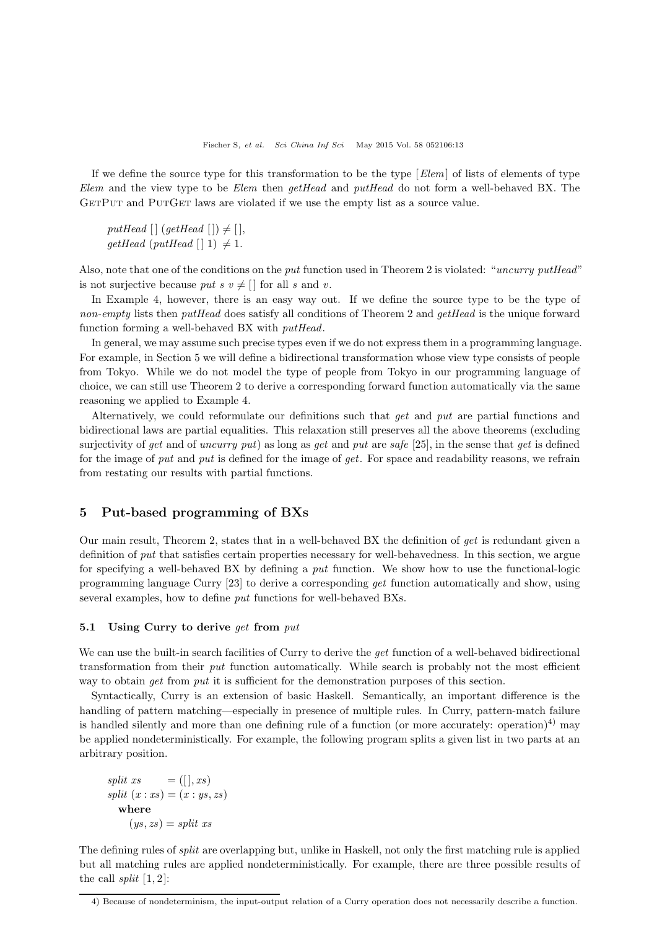If we define the source type for this transformation to be the type [*Elem* ] of lists of elements of type *Elem* and the view type to be *Elem* then *getHead* and *putHead* do not form a well-behaved BX. The GETPUT and PUTGET laws are violated if we use the empty list as a source value.

 $putHead [\ ] (getHead [\ ]) \neq [ ],$  $getHead$  ( $putHead$  [] 1)  $\neq$  1.

Also, note that one of the conditions on the *put* function used in Theorem 2 is violated: "*uncurry putHead*" is not surjective because *put s*  $v \neq [\ ]$  for all *s* and *v*.

In Example 4, however, there is an easy way out. If we define the source type to be the type of *non-empty* lists then *putHead* does satisfy all conditions of Theorem 2 and *getHead* is the unique forward function forming a well-behaved BX with *putHead*.

In general, we may assume such precise types even if we do not express them in a programming language. For example, in Section 5 we will define a bidirectional transformation whose view type consists of people from Tokyo. While we do not model the type of people from Tokyo in our programming language of choice, we can still use Theorem 2 to derive a corresponding forward function automatically via the same reasoning we applied to Example 4.

Alternatively, we could reformulate our definitions such that *get* and *put* are partial functions and bidirectional laws are partial equalities. This relaxation still preserves all the above theorems (excluding surjectivity of *get* and of *uncurry put*) as long as *get* and *put* are *safe* [25], in the sense that *get* is defined for the image of *put* and *put* is defined for the image of *get*. For space and readability reasons, we refrain from restating our results with partial functions.

## **5 Put-based programming of BXs**

Our main result, Theorem 2, states that in a well-behaved BX the definition of *get* is redundant given a definition of *put* that satisfies certain properties necessary for well-behavedness. In this section, we argue for specifying a well-behaved BX by defining a *put* function. We show how to use the functional-logic programming language Curry [23] to derive a corresponding *get* function automatically and show, using several examples, how to define *put* functions for well-behaved BXs.

#### **5.1 Using Curry to derive** *get* **from** *put*

We can use the built-in search facilities of Curry to derive the *get* function of a well-behaved bidirectional transformation from their *put* function automatically. While search is probably not the most efficient way to obtain *get* from *put* it is sufficient for the demonstration purposes of this section.

Syntactically, Curry is an extension of basic Haskell. Semantically, an important difference is the handling of pattern matching—especially in presence of multiple rules. In Curry, pattern-match failure is handled silently and more than one defining rule of a function (or more accurately: operation)<sup>4)</sup> may be applied nondeterministically. For example, the following program splits a given list in two parts at an arbitrary position.

```
split xs = ([] , xs)split (x : xs) = (x : ys, zs)where
    (ys, zs) = split xs
```
The defining rules of *split* are overlapping but, unlike in Haskell, not only the first matching rule is applied but all matching rules are applied nondeterministically. For example, there are three possible results of the call *split*  $[1, 2]$ :

<sup>4)</sup> Because of nondeterminism, the input-output relation of a Curry operation does not necessarily describe a function.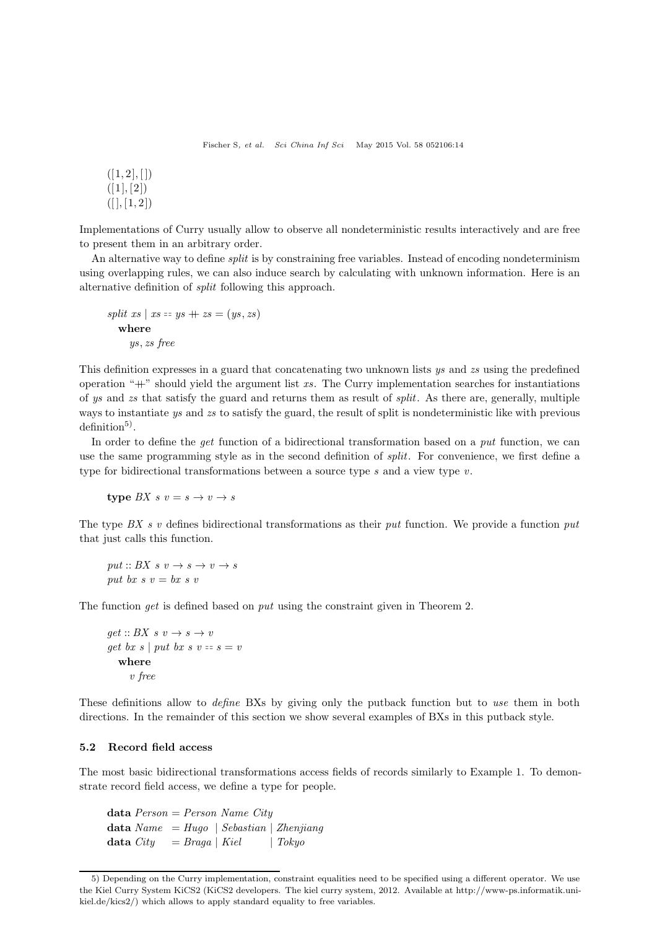$([1, 2], []$  $([1], [2])$  $([ ], [1, 2])$ 

Implementations of Curry usually allow to observe all nondeterministic results interactively and are free to present them in an arbitrary order.

An alternative way to define *split* is by constraining free variables. Instead of encoding nondeterminism using overlapping rules, we can also induce search by calculating with unknown information. Here is an alternative definition of *split* following this approach.

```
split xs | xs = ys + zs = (ys, zs)where
    ys, zs free
```
This definition expresses in a guard that concatenating two unknown lists *ys* and *zs* using the predefined operation "++" should yield the argument list *xs*. The Curry implementation searches for instantiations of *ys* and *zs* that satisfy the guard and returns them as result of *split*. As there are, generally, multiple ways to instantiate *ys* and *zs* to satisfy the guard, the result of split is nondeterministic like with previous  $definition<sup>5</sup>$ .

In order to define the *get* function of a bidirectional transformation based on a *put* function, we can use the same programming style as in the second definition of *split*. For convenience, we first define a type for bidirectional transformations between a source type *s* and a view type *v*.

**type**  $BX \, s \, v = s \rightarrow v \rightarrow s$ 

The type *BX s v* defines bidirectional transformations as their *put* function. We provide a function *put* that just calls this function.

 $put :: BX \, s \, v \rightarrow s \rightarrow v \rightarrow s$ *put bx s v*  $= bx \, s \, v$ 

The function *get* is defined based on *put* using the constraint given in Theorem 2.

```
get :: BX \ s \ v \rightarrow s \rightarrow vget bx s | put bx s v = s = vwhere
      v free
```
These definitions allow to *define* BXs by giving only the putback function but to *use* them in both directions. In the remainder of this section we show several examples of BXs in this putback style.

## **5.2 Record field access**

The most basic bidirectional transformations access fields of records similarly to Example 1. To demonstrate record field access, we define a type for people.

**data** *Person* = *Person Name City* **data** *Name* = *Hugo* | *Sebastian* | *Zhenjiang*  $\textbf{data} \; \textit{City} \quad = \textit{Braga} \mid \textit{Kiel} \quad \text{1} \; \textit{Tokyo}$ 

<sup>5)</sup> Depending on the Curry implementation, constraint equalities need to be specified using a different operator. We use the Kiel Curry System KiCS2 (KiCS2 developers. The kiel curry system, 2012. Available at http://www-ps.informatik.unikiel.de/kics2/) which allows to apply standard equality to free variables.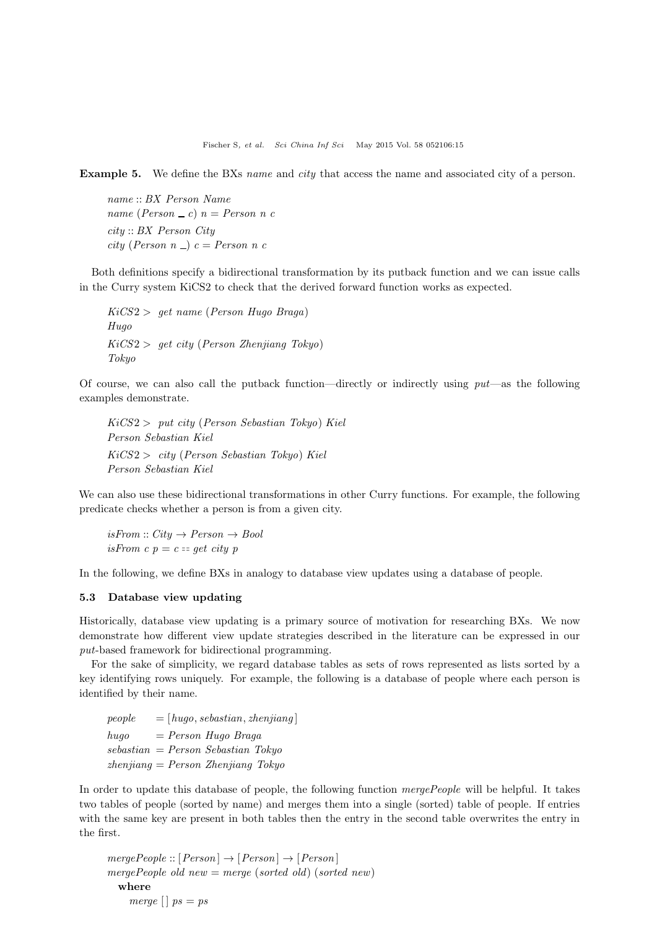**Example 5.** We define the BXs *name* and *city* that access the name and associated city of a person.

*name* :: *BX Person Name*  $name (Person _c) n = Person n c$ *city* :: *BX Person City*  $city$  (*Person n*  $) c = Person n c$ 

Both definitions specify a bidirectional transformation by its putback function and we can issue calls in the Curry system KiCS2 to check that the derived forward function works as expected.

*KiCS*2 > *get name* (*Person Hugo Braga*) *Hugo KiCS*2 > *get city* (*Person Zhenjiang Tokyo*) *Tokyo*

Of course, we can also call the putback function—directly or indirectly using *put*—as the following examples demonstrate.

*KiCS*2 > *put city* (*Person Sebastian Tokyo*) *Kiel Person Sebastian Kiel KiCS*2 > *city* (*Person Sebastian Tokyo*) *Kiel Person Sebastian Kiel*

We can also use these bidirectional transformations in other Curry functions. For example, the following predicate checks whether a person is from a given city.

 $isFrom :: City \rightarrow Person \rightarrow Bool$ *isFrom c p = c* = *get city p* 

In the following, we define BXs in analogy to database view updates using a database of people.

#### **5.3 Database view updating**

Historically, database view updating is a primary source of motivation for researching BXs. We now demonstrate how different view update strategies described in the literature can be expressed in our *put*-based framework for bidirectional programming.

For the sake of simplicity, we regard database tables as sets of rows represented as lists sorted by a key identifying rows uniquely. For example, the following is a database of people where each person is identified by their name.

*people* = [*hugo*, *sebastian*, *zhenjiang* ] *hugo* = *Person Hugo Braga sebastian* = *Person Sebastian Tokyo zhenjiang* = *Person Zhenjiang Tokyo*

In order to update this database of people, the following function *mergePeople* will be helpful. It takes two tables of people (sorted by name) and merges them into a single (sorted) table of people. If entries with the same key are present in both tables then the entry in the second table overwrites the entry in the first.

 $mergePeople::[Person] \rightarrow [Person] \rightarrow [Person]$ *mergePeople old new* = *merge* (*sorted old*) (*sorted new*) **where** *merge*  $\lceil \cdot \rceil ps = ps$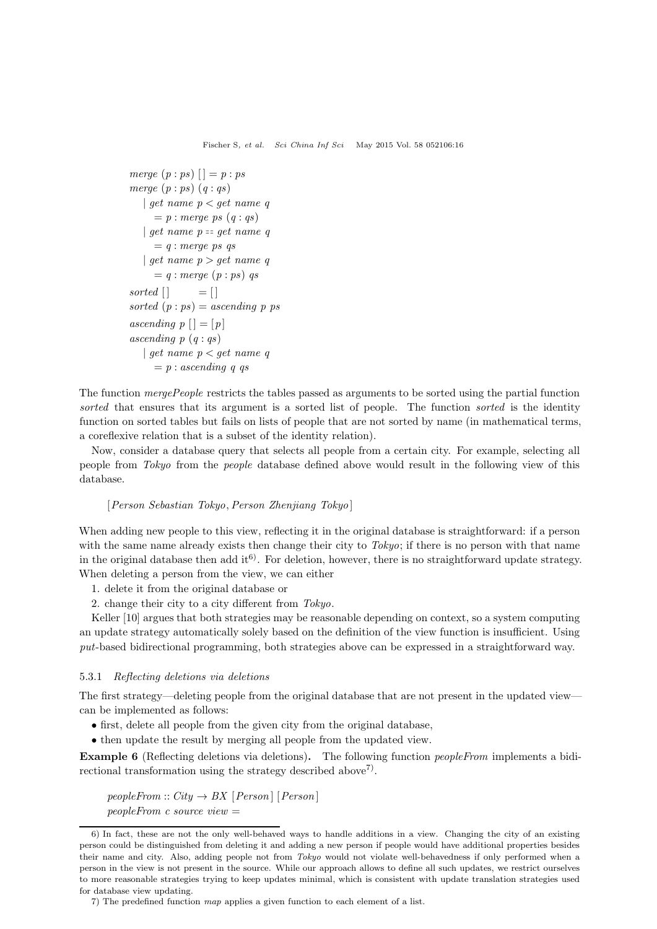```
merge (p : ps) | | = p : psmerge (p : ps) (q : qs)
  | get name p < get name q
     = p : merge ps (q : qs)
  \vert get name p = get name q
     = q : merge ps qs| get name p > get name q
     = q : merge(p : ps)sorted | = |sorted (p : ps) = ascending p psascending p \mid \mid = [p]ascending p (q : qs)
  | get name p < get name q
     = p : ascending q qs
```
The function *mergePeople* restricts the tables passed as arguments to be sorted using the partial function *sorted* that ensures that its argument is a sorted list of people. The function *sorted* is the identity function on sorted tables but fails on lists of people that are not sorted by name (in mathematical terms, a coreflexive relation that is a subset of the identity relation).

Now, consider a database query that selects all people from a certain city. For example, selecting all people from *Tokyo* from the *people* database defined above would result in the following view of this database.

#### [*Person Sebastian Tokyo*,*Person Zhenjiang Tokyo* ]

When adding new people to this view, reflecting it in the original database is straightforward: if a person with the same name already exists then change their city to *Tokyo*; if there is no person with that name in the original database then add it<sup>6)</sup>. For deletion, however, there is no straightforward update strategy. When deleting a person from the view, we can either

- 1. delete it from the original database or
- 2. change their city to a city different from *Tokyo*.

Keller [10] argues that both strategies may be reasonable depending on context, so a system computing an update strategy automatically solely based on the definition of the view function is insufficient. Using *put*-based bidirectional programming, both strategies above can be expressed in a straightforward way.

#### 5.3.1 *Reflecting deletions via deletions*

The first strategy—deleting people from the original database that are not present in the updated view can be implemented as follows:

- first, delete all people from the given city from the original database,
- then update the result by merging all people from the updated view.

**Example 6** (Reflecting deletions via deletions)**.** The following function *peopleFrom* implements a bidirectional transformation using the strategy described above<sup>7</sup>.

 $peopleFrom :: City \rightarrow BX [Person] [Person]$ *peopleFrom c source view* =

<sup>6)</sup> In fact, these are not the only well-behaved ways to handle additions in a view. Changing the city of an existing person could be distinguished from deleting it and adding a new person if people would have additional properties besides their name and city. Also, adding people not from *Tokyo* would not violate well-behavedness if only performed when a person in the view is not present in the source. While our approach allows to define all such updates, we restrict ourselves to more reasonable strategies trying to keep updates minimal, which is consistent with update translation strategies used for database view updating.

<sup>7)</sup> The predefined function *map* applies a given function to each element of a list.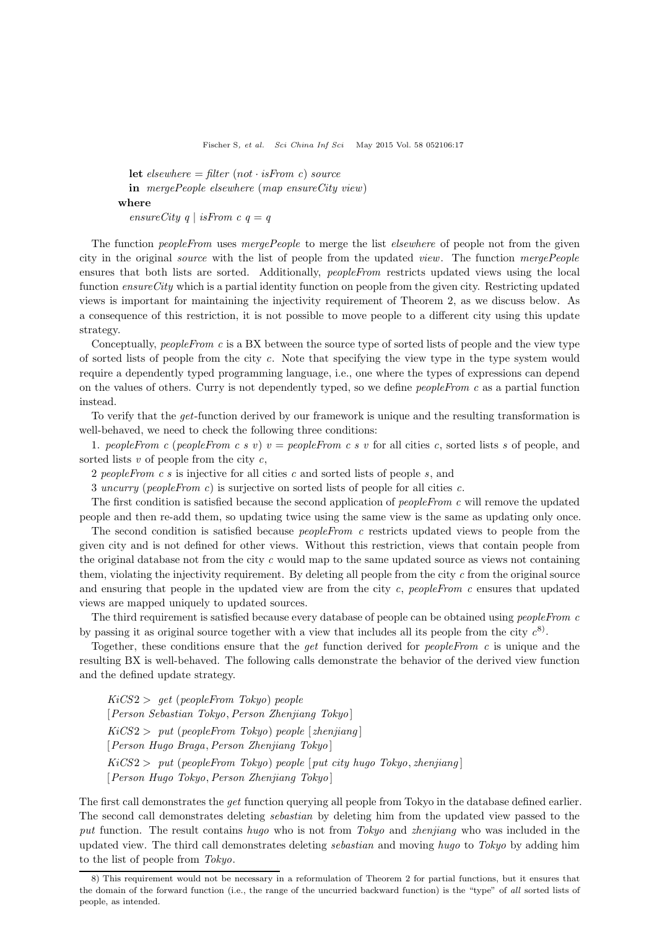**let**  $elsewhere = filter (not \cdot isFrom \, c) \, source$ **in** *mergePeople elsewhere* (*map ensureCity view*) **where** *ensureCity q* | *isFrom c q = q* 

The function *peopleFrom* uses *mergePeople* to merge the list *elsewhere* of people not from the given city in the original *source* with the list of people from the updated *view*. The function *mergePeople* ensures that both lists are sorted. Additionally, *peopleFrom* restricts updated views using the local function *ensureCity* which is a partial identity function on people from the given city. Restricting updated views is important for maintaining the injectivity requirement of Theorem 2, as we discuss below. As a consequence of this restriction, it is not possible to move people to a different city using this update strategy.

Conceptually, *peopleFrom c* is a BX between the source type of sorted lists of people and the view type of sorted lists of people from the city *c*. Note that specifying the view type in the type system would require a dependently typed programming language, i.e., one where the types of expressions can depend on the values of others. Curry is not dependently typed, so we define *peopleFrom c* as a partial function instead.

To verify that the *get*-function derived by our framework is unique and the resulting transformation is well-behaved, we need to check the following three conditions:

1. *peopleFrom c* (*peopleFrom c s v*) *v* = *peopleFrom c s v* for all cities *c*, sorted lists *s* of people, and sorted lists *v* of people from the city *c*,

2 *peopleFrom c s* is injective for all cities *c* and sorted lists of people *s*, and

3 *uncurry* (*peopleFrom c*) is surjective on sorted lists of people for all cities *c*.

The first condition is satisfied because the second application of *peopleFrom c* will remove the updated people and then re-add them, so updating twice using the same view is the same as updating only once.

The second condition is satisfied because *peopleFrom c* restricts updated views to people from the given city and is not defined for other views. Without this restriction, views that contain people from the original database not from the city *c* would map to the same updated source as views not containing them, violating the injectivity requirement. By deleting all people from the city *c* from the original source and ensuring that people in the updated view are from the city *c*, *peopleFrom c* ensures that updated views are mapped uniquely to updated sources.

The third requirement is satisfied because every database of people can be obtained using *peopleFrom c* by passing it as original source together with a view that includes all its people from the city  $c^8$ .

Together, these conditions ensure that the *get* function derived for *peopleFrom c* is unique and the resulting BX is well-behaved. The following calls demonstrate the behavior of the derived view function and the defined update strategy.

*KiCS*2 > *get* (*peopleFrom Tokyo*) *people* [*Person Sebastian Tokyo*,*Person Zhenjiang Tokyo* ] *KiCS*2 > *put* (*peopleFrom Tokyo*) *people* [*zhenjiang* ] [*Person Hugo Braga*,*Person Zhenjiang Tokyo* ] *KiCS*2 > *put* (*peopleFrom Tokyo*) *people* [*put city hugo Tokyo*, *zhenjiang* ] [*Person Hugo Tokyo*,*Person Zhenjiang Tokyo* ]

The first call demonstrates the *get* function querying all people from Tokyo in the database defined earlier. The second call demonstrates deleting *sebastian* by deleting him from the updated view passed to the *put* function. The result contains *hugo* who is not from *Tokyo* and *zhenjiang* who was included in the updated view. The third call demonstrates deleting *sebastian* and moving *hugo* to *Tokyo* by adding him to the list of people from *Tokyo*.

<sup>8)</sup> This requirement would not be necessary in a reformulation of Theorem 2 for partial functions, but it ensures that the domain of the forward function (i.e., the range of the uncurried backward function) is the "type" of *all* sorted lists of people, as intended.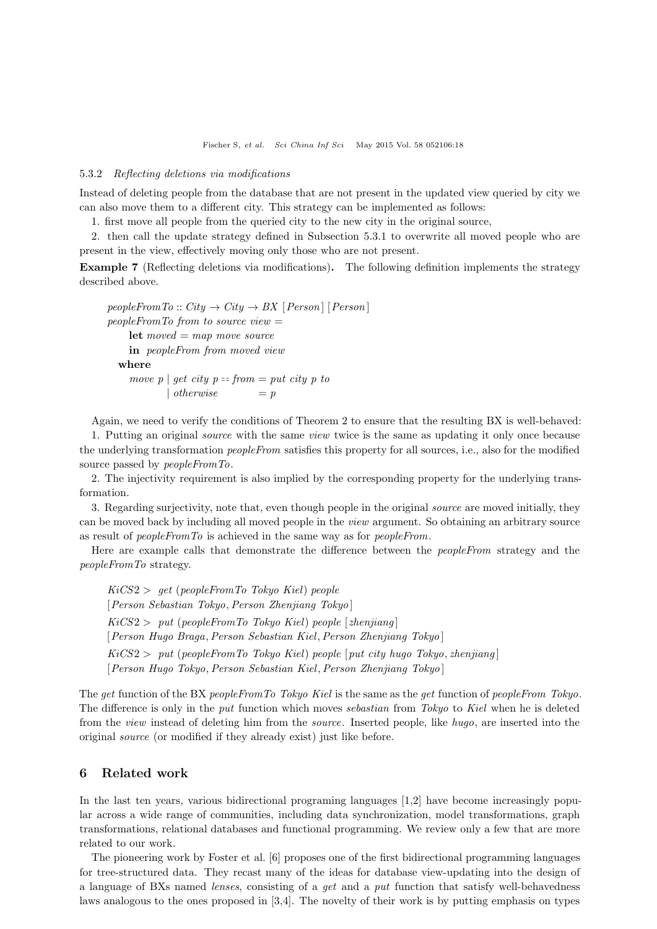## 5.3.2 *Reflecting deletions via modifications*

Instead of deleting people from the database that are not present in the updated view queried by city we can also move them to a different city. This strategy can be implemented as follows:

1. first move all people from the queried city to the new city in the original source,

2. then call the update strategy defined in Subsection 5.3.1 to overwrite all moved people who are present in the view, effectively moving only those who are not present.

**Example 7** (Reflecting deletions via modifications). The following definition implements the strategy described above.

 $peopleFromTo :: City \rightarrow City \rightarrow BX$  [*Person*] [*Person*] *peopleFromTo from to source view* = **let** *moved* = *map move source* **in** *peopleFrom from moved view* **where** *move*  $p \mid get\ city\ p = from = put\ city\ p\ to$  $\vert \ otherwise \vert = p$ 

Again, we need to verify the conditions of Theorem 2 to ensure that the resulting BX is well-behaved:

1. Putting an original *source* with the same *view* twice is the same as updating it only once because the underlying transformation *peopleFrom* satisfies this property for all sources, i.e., also for the modified source passed by *peopleFromTo*.

2. The injectivity requirement is also implied by the corresponding property for the underlying transformation.

3. Regarding surjectivity, note that, even though people in the original *source* are moved initially, they can be moved back by including all moved people in the *view* argument. So obtaining an arbitrary source as result of *peopleFromTo* is achieved in the same way as for *peopleFrom*.

Here are example calls that demonstrate the difference between the *peopleFrom* strategy and the *peopleFromTo* strategy.

*KiCS*2 > *get* (*peopleFromTo Tokyo Kiel*) *people* [*Person Sebastian Tokyo*,*Person Zhenjiang Tokyo* ] *KiCS*2 > *put* (*peopleFromTo Tokyo Kiel*) *people* [*zhenjiang* ] [*Person Hugo Braga*,*Person Sebastian Kiel*,*Person Zhenjiang Tokyo* ] *KiCS*2 > *put* (*peopleFromTo Tokyo Kiel*) *people* [*put city hugo Tokyo*, *zhenjiang* ] [*Person Hugo Tokyo*,*Person Sebastian Kiel*,*Person Zhenjiang Tokyo* ]

The *get* function of the BX *peopleFromTo Tokyo Kiel* is the same as the *get* function of *peopleFrom Tokyo*. The difference is only in the *put* function which moves *sebastian* from *Tokyo* to *Kiel* when he is deleted from the *view* instead of deleting him from the *source*. Inserted people, like *hugo*, are inserted into the original *source* (or modified if they already exist) just like before.

## **6 Related work**

In the last ten years, various bidirectional programing languages [1,2] have become increasingly popular across a wide range of communities, including data synchronization, model transformations, graph transformations, relational databases and functional programming. We review only a few that are more related to our work.

The pioneering work by Foster et al. [6] proposes one of the first bidirectional programming languages for tree-structured data. They recast many of the ideas for database view-updating into the design of a language of BXs named *lenses*, consisting of a *get* and a *put* function that satisfy well-behavedness laws analogous to the ones proposed in [3,4]. The novelty of their work is by putting emphasis on types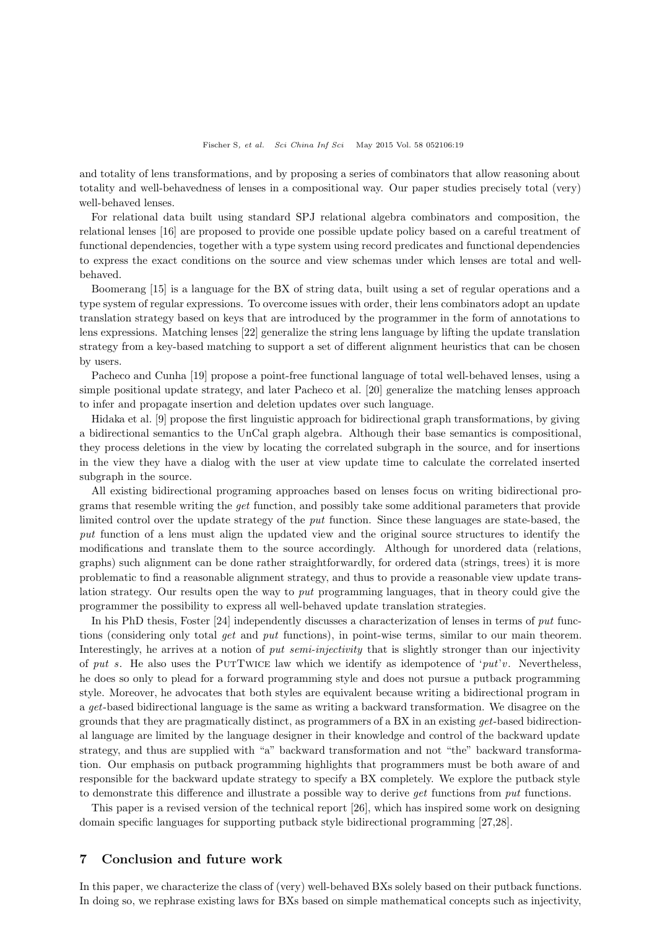and totality of lens transformations, and by proposing a series of combinators that allow reasoning about totality and well-behavedness of lenses in a compositional way. Our paper studies precisely total (very) well-behaved lenses.

For relational data built using standard SPJ relational algebra combinators and composition, the relational lenses [16] are proposed to provide one possible update policy based on a careful treatment of functional dependencies, together with a type system using record predicates and functional dependencies to express the exact conditions on the source and view schemas under which lenses are total and wellbehaved.

Boomerang [15] is a language for the BX of string data, built using a set of regular operations and a type system of regular expressions. To overcome issues with order, their lens combinators adopt an update translation strategy based on keys that are introduced by the programmer in the form of annotations to lens expressions. Matching lenses [22] generalize the string lens language by lifting the update translation strategy from a key-based matching to support a set of different alignment heuristics that can be chosen by users.

Pacheco and Cunha [19] propose a point-free functional language of total well-behaved lenses, using a simple positional update strategy, and later Pacheco et al. [20] generalize the matching lenses approach to infer and propagate insertion and deletion updates over such language.

Hidaka et al. [9] propose the first linguistic approach for bidirectional graph transformations, by giving a bidirectional semantics to the UnCal graph algebra. Although their base semantics is compositional, they process deletions in the view by locating the correlated subgraph in the source, and for insertions in the view they have a dialog with the user at view update time to calculate the correlated inserted subgraph in the source.

All existing bidirectional programing approaches based on lenses focus on writing bidirectional programs that resemble writing the *get* function, and possibly take some additional parameters that provide limited control over the update strategy of the *put* function. Since these languages are state-based, the *put* function of a lens must align the updated view and the original source structures to identify the modifications and translate them to the source accordingly. Although for unordered data (relations, graphs) such alignment can be done rather straightforwardly, for ordered data (strings, trees) it is more problematic to find a reasonable alignment strategy, and thus to provide a reasonable view update translation strategy. Our results open the way to *put* programming languages, that in theory could give the programmer the possibility to express all well-behaved update translation strategies.

In his PhD thesis, Foster [24] independently discusses a characterization of lenses in terms of *put* functions (considering only total *get* and *put* functions), in point-wise terms, similar to our main theorem. Interestingly, he arrives at a notion of *put semi-injectivity* that is slightly stronger than our injectivity of *put s*. He also uses the PutTwice law which we identify as idempotence of '*put*'*v*. Nevertheless, he does so only to plead for a forward programming style and does not pursue a putback programming style. Moreover, he advocates that both styles are equivalent because writing a bidirectional program in a *get*-based bidirectional language is the same as writing a backward transformation. We disagree on the grounds that they are pragmatically distinct, as programmers of a BX in an existing *get*-based bidirectional language are limited by the language designer in their knowledge and control of the backward update strategy, and thus are supplied with "a" backward transformation and not "the" backward transformation. Our emphasis on putback programming highlights that programmers must be both aware of and responsible for the backward update strategy to specify a BX completely. We explore the putback style to demonstrate this difference and illustrate a possible way to derive *get* functions from *put* functions.

This paper is a revised version of the technical report [26], which has inspired some work on designing domain specific languages for supporting putback style bidirectional programming [27,28].

### **7 Conclusion and future work**

In this paper, we characterize the class of (very) well-behaved BXs solely based on their putback functions. In doing so, we rephrase existing laws for BXs based on simple mathematical concepts such as injectivity,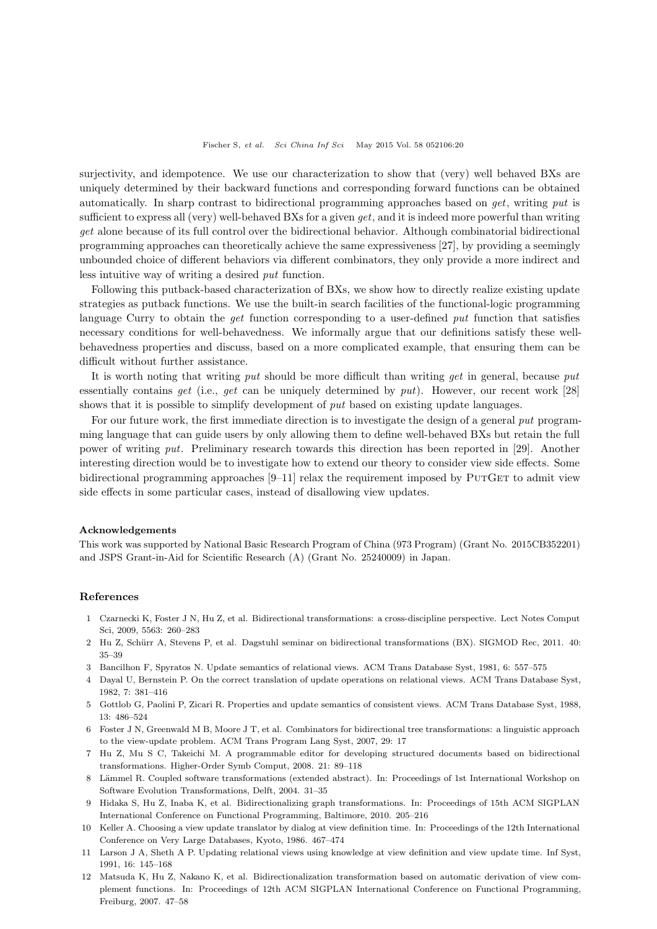surjectivity, and idempotence. We use our characterization to show that (very) well behaved BXs are uniquely determined by their backward functions and corresponding forward functions can be obtained automatically. In sharp contrast to bidirectional programming approaches based on *get*, writing *put* is sufficient to express all (very) well-behaved BXs for a given *get*, and it is indeed more powerful than writing *get* alone because of its full control over the bidirectional behavior. Although combinatorial bidirectional programming approaches can theoretically achieve the same expressiveness [27], by providing a seemingly unbounded choice of different behaviors via different combinators, they only provide a more indirect and less intuitive way of writing a desired *put* function.

Following this putback-based characterization of BXs, we show how to directly realize existing update strategies as putback functions. We use the built-in search facilities of the functional-logic programming language Curry to obtain the *get* function corresponding to a user-defined *put* function that satisfies necessary conditions for well-behavedness. We informally argue that our definitions satisfy these wellbehavedness properties and discuss, based on a more complicated example, that ensuring them can be difficult without further assistance.

It is worth noting that writing *put* should be more difficult than writing *get* in general, because *put* essentially contains *get* (i.e., *get* can be uniquely determined by *put*). However, our recent work [28] shows that it is possible to simplify development of *put* based on existing update languages.

For our future work, the first immediate direction is to investigate the design of a general *put* programming language that can guide users by only allowing them to define well-behaved BXs but retain the full power of writing *put*. Preliminary research towards this direction has been reported in [29]. Another interesting direction would be to investigate how to extend our theory to consider view side effects. Some bidirectional programming approaches  $[9-11]$  relax the requirement imposed by PUTGET to admit view side effects in some particular cases, instead of disallowing view updates.

#### **Acknowledgements**

This work was supported by National Basic Research Program of China (973 Program) (Grant No. 2015CB352201) and JSPS Grant-in-Aid for Scientific Research (A) (Grant No. 25240009) in Japan.

#### **References**

- 1 Czarnecki K, Foster J N, Hu Z, et al. Bidirectional transformations: a cross-discipline perspective. Lect Notes Comput Sci, 2009, 5563: 260–283
- 2 Hu Z, Schürr A, Stevens P, et al. Dagstuhl seminar on bidirectional transformations (BX). SIGMOD Rec, 2011. 40: 35–39
- 3 Bancilhon F, Spyratos N. Update semantics of relational views. ACM Trans Database Syst, 1981, 6: 557–575
- 4 Dayal U, Bernstein P. On the correct translation of update operations on relational views. ACM Trans Database Syst, 1982, 7: 381–416
- 5 Gottlob G, Paolini P, Zicari R. Properties and update semantics of consistent views. ACM Trans Database Syst, 1988, 13: 486–524
- 6 Foster J N, Greenwald M B, Moore J T, et al. Combinators for bidirectional tree transformations: a linguistic approach to the view-update problem. ACM Trans Program Lang Syst, 2007, 29: 17
- 7 Hu Z, Mu S C, Takeichi M. A programmable editor for developing structured documents based on bidirectional transformations. Higher-Order Symb Comput, 2008. 21: 89–118
- 8 Lämmel R. Coupled software transformations (extended abstract). In: Proceedings of 1st International Workshop on Software Evolution Transformations, Delft, 2004. 31–35
- 9 Hidaka S, Hu Z, Inaba K, et al. Bidirectionalizing graph transformations. In: Proceedings of 15th ACM SIGPLAN International Conference on Functional Programming, Baltimore, 2010. 205–216
- 10 Keller A. Choosing a view update translator by dialog at view definition time. In: Proceedings of the 12th International Conference on Very Large Databases, Kyoto, 1986. 467–474
- 11 Larson J A, Sheth A P. Updating relational views using knowledge at view definition and view update time. Inf Syst, 1991, 16: 145–168
- 12 Matsuda K, Hu Z, Nakano K, et al. Bidirectionalization transformation based on automatic derivation of view complement functions. In: Proceedings of 12th ACM SIGPLAN International Conference on Functional Programming, Freiburg, 2007. 47–58